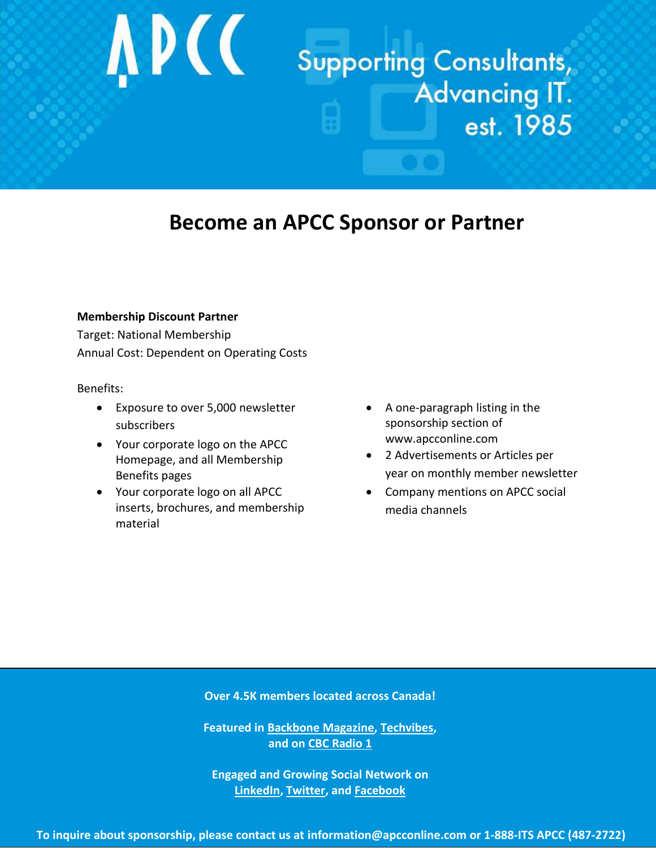# **APCC**

## **Supporting Consultants,** Advancing IT.<br>est. 1985

### **Become an APCC Sponsor or Partner**

#### **Membership Discount Partner**

Target: National Membership Annual Cost: Dependent on Operating Costs

#### Benefits:

- Exposure to over 5,000 newsletter subscribers
- Your corporate logo on the APCC Homepage, and all Membership Benefits pages
- Your corporate logo on all APCC inserts, brochures, and membership material
- A one-paragraph listing in the sponsorship section of www.apcconline.com
- 2 Advertisements or Articles per year on monthly member newsletter
- Company mentions on APCC social media channels

**Over 4.5K members located across Canada!**

**Featured in Backbone [Magazine,](http://www.backbonemag.com/Backblog/knowledgebased-workers-drive-economic-success.aspx) [Techvibes,](http://www.techvibes.com/blog/knowledge-based-workers-are-changing-the-rules-in-canada-2013-04-28) and o[n CBC Radio 1](http://www.apcconline.com/index.php/archives/1661)**

**Engaged and Growing Social Network on [LinkedIn,](http://www.linkedin.com/groups/APCC-Association-Professional-Computer-Consultants-3768080/about?trk=anet_ug_grppro) [Twitter,](http://www.twitter.com/APCC_Canada) and [Facebook](http://www.facebook.com/APCCOnline)**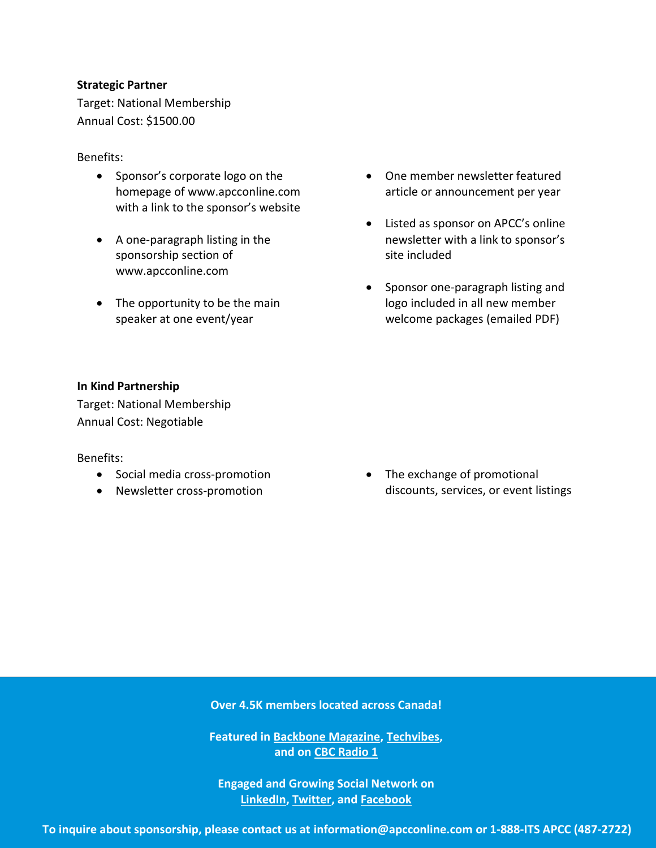#### **Strategic Partner**

Target: National Membership Annual Cost: \$1500.00

#### Benefits:

- Sponsor's corporate logo on the homepage of www.apcconline.com with a link to the sponsor's website
- A one-paragraph listing in the sponsorship section of www.apcconline.com
- The opportunity to be the main speaker at one event/year
- One member newsletter featured article or announcement per year
- Listed as sponsor on APCC's online newsletter with a link to sponsor's site included
- Sponsor one-paragraph listing and logo included in all new member welcome packages (emailed PDF)

#### **In Kind Partnership**

Target: National Membership Annual Cost: Negotiable

#### Benefits:

- Social media cross-promotion
- Newsletter cross-promotion

• The exchange of promotional discounts, services, or event listings

**Over 4.5K members located across Canada!**

**Featured in Backbone [Magazine,](http://www.backbonemag.com/Backblog/knowledgebased-workers-drive-economic-success.aspx) [Techvibes,](http://www.techvibes.com/blog/knowledge-based-workers-are-changing-the-rules-in-canada-2013-04-28) and on [CBC Radio 1](http://www.apcconline.com/index.php/archives/1661)**

**Engaged and Growing Social Network on [LinkedIn,](http://www.linkedin.com/groups/APCC-Association-Professional-Computer-Consultants-3768080/about?trk=anet_ug_grppro) [Twitter,](http://www.twitter.com/APCC_Canada) and [Facebook](http://www.facebook.com/APCCOnline)**

**To inquire about sponsorship, please contact us at [information@apcconline.com](mailto:information@apcconline.com) or 1-888-ITS APCC (487-2722)**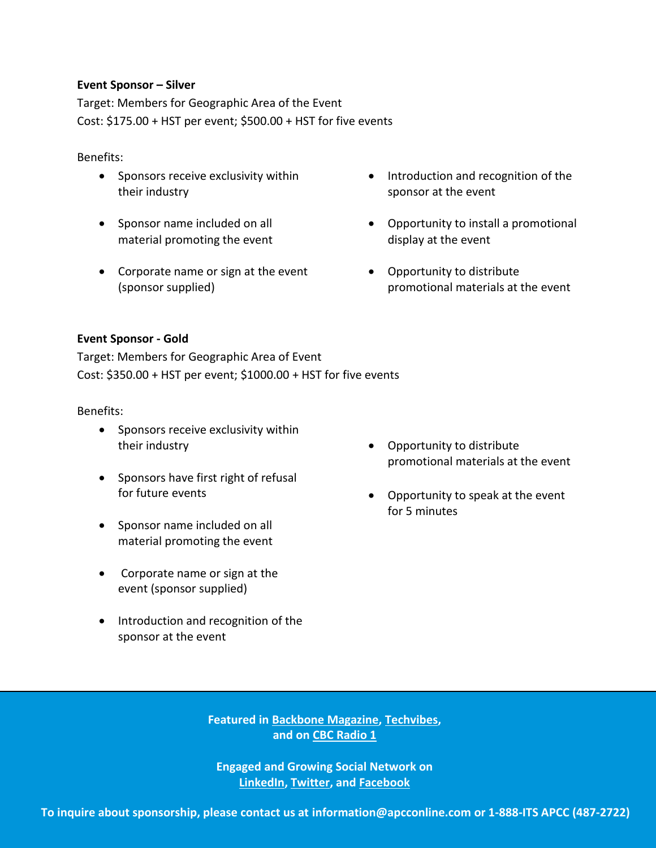#### **Event Sponsor – Silver**

Target: Members for Geographic Area of the Event Cost: \$175.00 + HST per event; \$500.00 + HST for five events

#### Benefits:

- Sponsors receive exclusivity within their industry
- Sponsor name included on all material promoting the event
- Corporate name or sign at the event (sponsor supplied)
- Introduction and recognition of the sponsor at the event
- Opportunity to install a promotional display at the event
- Opportunity to distribute promotional materials at the event

#### **Event Sponsor - Gold**

Target: Members for Geographic Area of Event Cost: \$350.00 + HST per event; \$1000.00 + HST for five events

#### Benefits:

- Sponsors receive exclusivity within their industry
- Sponsors have first right of refusal for future events
- Sponsor name included on all material promoting the event
- Corporate name or sign at the event (sponsor supplied)
- Introduction and recognition of the sponsor at the event
- Opportunity to distribute promotional materials at the event
- Opportunity to speak at the event for 5 minutes

 Opportunity to install a promotional **and on [CBC Radio 1](http://www.apcconline.com/index.php/archives/1661) Featured in Backbone [Magazine,](http://www.backbonemag.com/Backblog/knowledgebased-workers-drive-economic-success.aspx) [Techvibes,](http://www.techvibes.com/blog/knowledge-based-workers-are-changing-the-rules-in-canada-2013-04-28)** 

> **Engaged and Growing Social Network on [LinkedIn,](http://www.linkedin.com/groups/APCC-Association-Professional-Computer-Consultants-3768080/about?trk=anet_ug_grppro) [Twitter,](http://www.twitter.com/APCC_Canada) and [Facebook](http://www.facebook.com/APCCOnline)**

**To inquire about sponsorship, please contact us at [information@apcconline.com](mailto:information@apcconline.com) or 1-888-ITS APCC (487-2722)**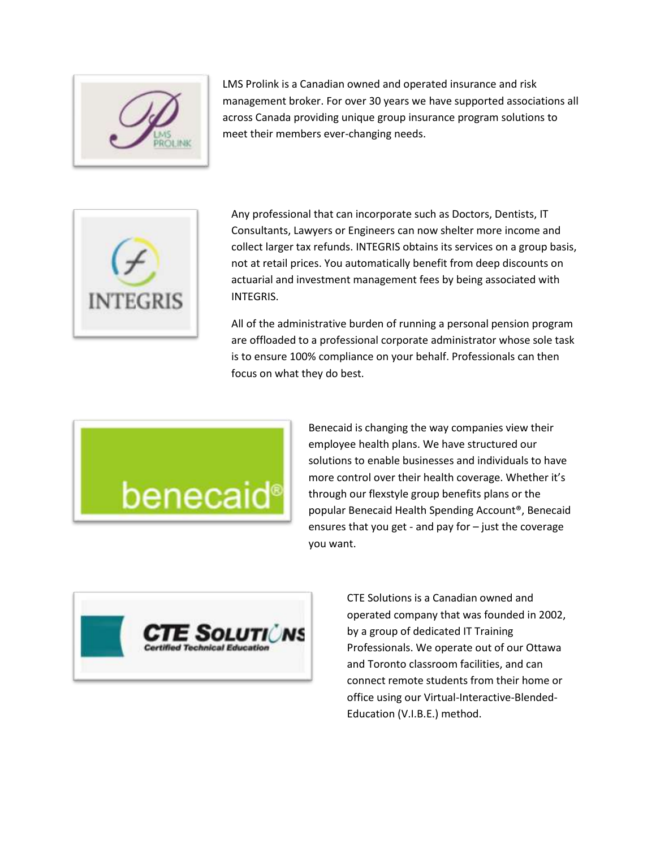

LMS Prolink is a Canadian owned and operated insurance and risk management broker. For over 30 years we have supported associations all across Canada providing unique group insurance program solutions to meet their members ever-changing needs.



Any professional that can incorporate such as Doctors, Dentists, IT Consultants, Lawyers or Engineers can now shelter more income and collect larger tax refunds. INTEGRIS obtains its services on a group basis, not at retail prices. You automatically benefit from deep discounts on actuarial and investment management fees by being associated with INTEGRIS.

All of the administrative burden of running a personal pension program are offloaded to a professional corporate administrator whose sole task is to ensure 100% compliance on your behalf. Professionals can then focus on what they do best.



Benecaid is changing the way companies view their employee health plans. We have structured our solutions to enable businesses and individuals to have more control over their health coverage. Whether it's through our flexstyle group benefits plans or the popular Benecaid Health Spending Account®, Benecaid ensures that you get - and pay for – just the coverage you want.



CTE Solutions is a Canadian owned and operated company that was founded in 2002, by a group of dedicated IT Training Professionals. We operate out of our Ottawa and Toronto classroom facilities, and can connect remote students from their home or office using our Virtual-Interactive-Blended-Education (V.I.B.E.) method.